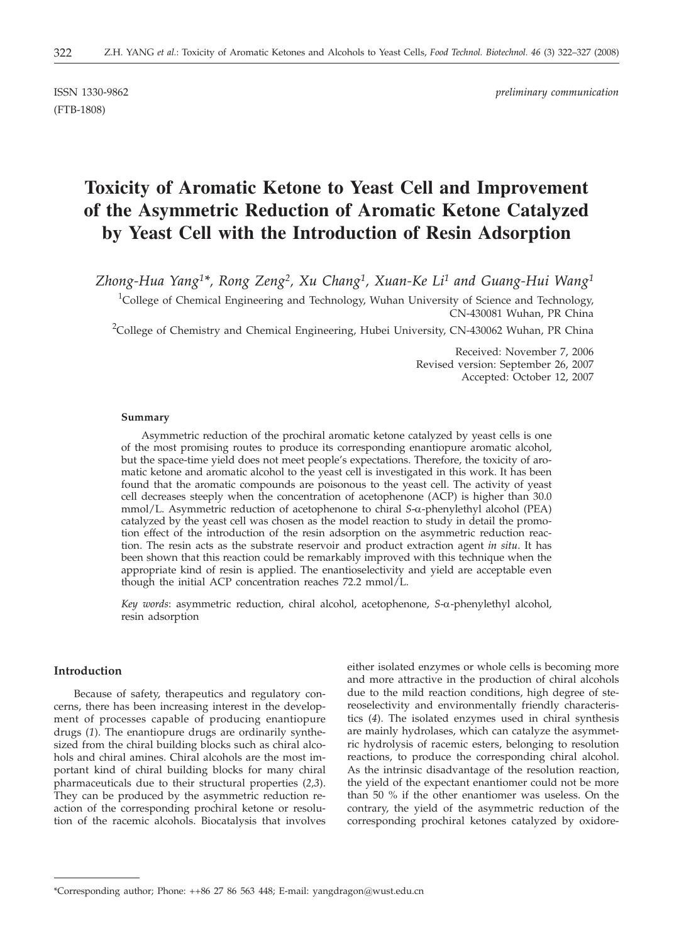(FTB-1808)

ISSN 1330-9862 *preliminary communication*

# **Toxicity of Aromatic Ketone to Yeast Cell and Improvement of the Asymmetric Reduction of Aromatic Ketone Catalyzed by Yeast Cell with the Introduction of Resin Adsorption**

*Zhong-Hua Yang1\*, Rong Zeng2, Xu Chang1, Xuan-Ke Li1 and Guang-Hui Wang1*

<sup>1</sup>College of Chemical Engineering and Technology, Wuhan University of Science and Technology, CN-430081 Wuhan, PR China

<sup>2</sup>College of Chemistry and Chemical Engineering, Hubei University, CN-430062 Wuhan, PR China

Received: November 7, 2006 Revised version: September 26, 2007 Accepted: October 12, 2007

#### **Summary**

Asymmetric reduction of the prochiral aromatic ketone catalyzed by yeast cells is one of the most promising routes to produce its corresponding enantiopure aromatic alcohol, but the space-time yield does not meet people's expectations. Therefore, the toxicity of aromatic ketone and aromatic alcohol to the yeast cell is investigated in this work. It has been found that the aromatic compounds are poisonous to the yeast cell. The activity of yeast cell decreases steeply when the concentration of acetophenone (ACP) is higher than 30.0 mmol/L. Asymmetric reduction of acetophenone to chiral *S*-a-phenylethyl alcohol (PEA) catalyzed by the yeast cell was chosen as the model reaction to study in detail the promotion effect of the introduction of the resin adsorption on the asymmetric reduction reaction. The resin acts as the substrate reservoir and product extraction agent *in situ*. It has been shown that this reaction could be remarkably improved with this technique when the appropriate kind of resin is applied. The enantioselectivity and yield are acceptable even though the initial ACP concentration reaches 72.2 mmol/L.

*Key words*: asymmetric reduction, chiral alcohol, acetophenone, *S*-a-phenylethyl alcohol, resin adsorption

## **Introduction**

Because of safety, therapeutics and regulatory concerns, there has been increasing interest in the development of processes capable of producing enantiopure drugs (*1*). The enantiopure drugs are ordinarily synthesized from the chiral building blocks such as chiral alcohols and chiral amines. Chiral alcohols are the most important kind of chiral building blocks for many chiral pharmaceuticals due to their structural properties (*2,3*). They can be produced by the asymmetric reduction reaction of the corresponding prochiral ketone or resolution of the racemic alcohols. Biocatalysis that involves

either isolated enzymes or whole cells is becoming more and more attractive in the production of chiral alcohols due to the mild reaction conditions, high degree of stereoselectivity and environmentally friendly characteristics (*4*). The isolated enzymes used in chiral synthesis are mainly hydrolases, which can catalyze the asymmetric hydrolysis of racemic esters, belonging to resolution reactions, to produce the corresponding chiral alcohol. As the intrinsic disadvantage of the resolution reaction, the yield of the expectant enantiomer could not be more than 50 % if the other enantiomer was useless. On the contrary, the yield of the asymmetric reduction of the corresponding prochiral ketones catalyzed by oxidore-

<sup>\*</sup>Corresponding author; Phone: ++86 27 86 563 448; E-mail: yangdragon@wust.edu.cn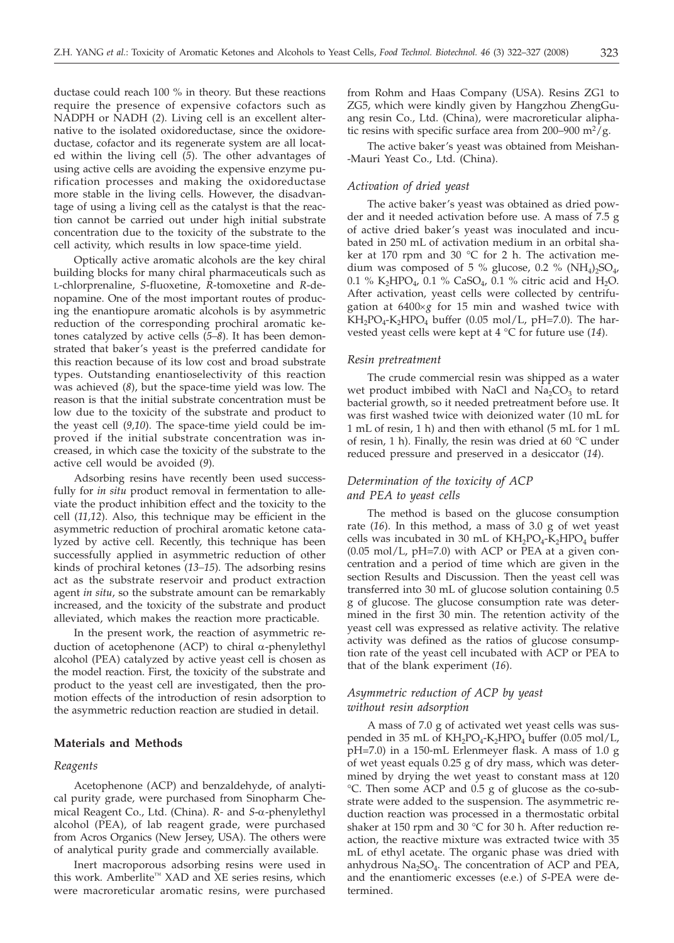ductase could reach 100 % in theory. But these reactions require the presence of expensive cofactors such as NADPH or NADH (*2*). Living cell is an excellent alternative to the isolated oxidoreductase, since the oxidoreductase, cofactor and its regenerate system are all located within the living cell (*5*). The other advantages of using active cells are avoiding the expensive enzyme purification processes and making the oxidoreductase more stable in the living cells. However, the disadvantage of using a living cell as the catalyst is that the reaction cannot be carried out under high initial substrate concentration due to the toxicity of the substrate to the cell activity, which results in low space-time yield.

Optically active aromatic alcohols are the key chiral building blocks for many chiral pharmaceuticals such as L-chlorprenaline, *S*-fluoxetine, *R*-tomoxetine and *R*-denopamine. One of the most important routes of producing the enantiopure aromatic alcohols is by asymmetric reduction of the corresponding prochiral aromatic ketones catalyzed by active cells (*5–8*). It has been demonstrated that baker's yeast is the preferred candidate for this reaction because of its low cost and broad substrate types. Outstanding enantioselectivity of this reaction was achieved (*8*), but the space-time yield was low. The reason is that the initial substrate concentration must be low due to the toxicity of the substrate and product to the yeast cell (*9,10*). The space-time yield could be improved if the initial substrate concentration was increased, in which case the toxicity of the substrate to the active cell would be avoided (*9*).

Adsorbing resins have recently been used successfully for *in situ* product removal in fermentation to alleviate the product inhibition effect and the toxicity to the cell (*11,12*). Also, this technique may be efficient in the asymmetric reduction of prochiral aromatic ketone catalyzed by active cell. Recently, this technique has been successfully applied in asymmetric reduction of other kinds of prochiral ketones (*13–15*). The adsorbing resins act as the substrate reservoir and product extraction agent *in situ*, so the substrate amount can be remarkably increased, and the toxicity of the substrate and product alleviated, which makes the reaction more practicable.

In the present work, the reaction of asymmetric reduction of acetophenone (ACP) to chiral  $\alpha$ -phenylethyl alcohol (PEA) catalyzed by active yeast cell is chosen as the model reaction. First, the toxicity of the substrate and product to the yeast cell are investigated, then the promotion effects of the introduction of resin adsorption to the asymmetric reduction reaction are studied in detail.

# **Materials and Methods**

#### *Reagents*

Acetophenone (ACP) and benzaldehyde, of analytical purity grade, were purchased from Sinopharm Chemical Reagent Co., Ltd. (China). *R-* and *S*-a-phenylethyl alcohol (PEA), of lab reagent grade, were purchased from Acros Organics (New Jersey, USA). The others were of analytical purity grade and commercially available.

Inert macroporous adsorbing resins were used in this work. Amberlite™ XAD and XE series resins, which were macroreticular aromatic resins, were purchased

from Rohm and Haas Company (USA). Resins ZG1 to ZG5, which were kindly given by Hangzhou ZhengGuang resin Co., Ltd. (China), were macroreticular aliphatic resins with specific surface area from 200–900 m<sup>2</sup>/g.

The active baker's yeast was obtained from Meishan- -Mauri Yeast Co., Ltd. (China).

### *Activation of dried yeast*

The active baker's yeast was obtained as dried powder and it needed activation before use. A mass of 7.5 g of active dried baker's yeast was inoculated and incubated in 250 mL of activation medium in an orbital shaker at 170 rpm and 30  $^{\circ}$ C for 2 h. The activation medium was composed of 5 % glucose, 0.2 %  $(NH_4)_2SO_4$ , 0.1 % K<sub>2</sub>HPO<sub>4</sub>, 0.1 % CaSO<sub>4</sub>, 0.1 % citric acid and H<sub>2</sub>O. After activation, yeast cells were collected by centrifugation at  $6400 \times g$  for 15 min and washed twice with  $KH_2PO_4-K_2HPO_4$  buffer (0.05 mol/L, pH=7.0). The harvested yeast cells were kept at 4 °C for future use (*14*).

#### *Resin pretreatment*

The crude commercial resin was shipped as a water wet product imbibed with NaCl and  $Na<sub>2</sub>CO<sub>3</sub>$  to retard bacterial growth, so it needed pretreatment before use. It was first washed twice with deionized water (10 mL for 1 mL of resin, 1 h) and then with ethanol (5 mL for 1 mL of resin, 1 h). Finally, the resin was dried at 60 °C under reduced pressure and preserved in a desiccator (*14*).

# *Determination of the toxicity of ACP and PEA to yeast cells*

The method is based on the glucose consumption rate (*16*). In this method, a mass of 3.0 g of wet yeast cells was incubated in 30 mL of  $KH_{2}PO_{4}$ - $K_{2}HPO_{4}$  buffer (0.05 mol/L, pH=7.0) with ACP or PEA at a given concentration and a period of time which are given in the section Results and Discussion. Then the yeast cell was transferred into 30 mL of glucose solution containing 0.5 g of glucose. The glucose consumption rate was determined in the first 30 min. The retention activity of the yeast cell was expressed as relative activity. The relative activity was defined as the ratios of glucose consumption rate of the yeast cell incubated with ACP or PEA to that of the blank experiment (*16*).

## *Asymmetric reduction of ACP by yeast without resin adsorption*

A mass of 7.0 g of activated wet yeast cells was suspended in 35 mL of  $KH_2PO_4$ -K<sub>2</sub>HPO<sub>4</sub> buffer (0.05 mol/L, pH=7.0) in a 150-mL Erlenmeyer flask. A mass of 1.0 g of wet yeast equals 0.25 g of dry mass, which was determined by drying the wet yeast to constant mass at 120 °C. Then some ACP and 0.5 g of glucose as the co-substrate were added to the suspension. The asymmetric reduction reaction was processed in a thermostatic orbital shaker at 150 rpm and 30 °C for 30 h. After reduction reaction, the reactive mixture was extracted twice with 35 mL of ethyl acetate. The organic phase was dried with anhydrous  $Na<sub>2</sub>SO<sub>4</sub>$ . The concentration of ACP and PEA, and the enantiomeric excesses (e.e*.*) of *S*-PEA were determined.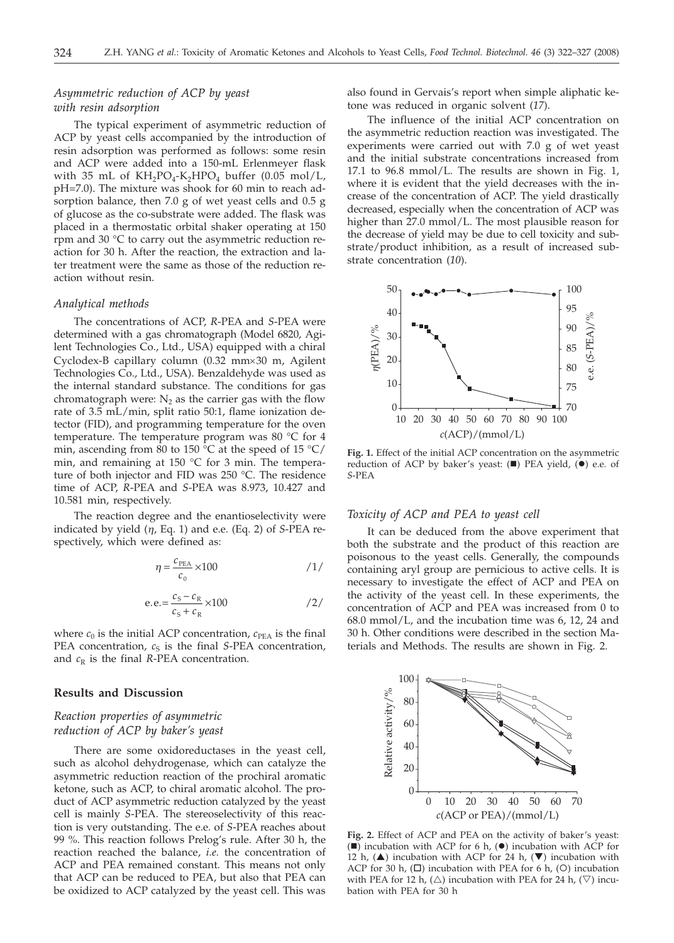# *Asymmetric reduction of ACP by yeast with resin adsorption*

The typical experiment of asymmetric reduction of ACP by yeast cells accompanied by the introduction of resin adsorption was performed as follows: some resin and ACP were added into a 150-mL Erlenmeyer flask with 35 mL of  $KH_2PO_4-K_2HPO_4$  buffer (0.05 mol/L, pH=7.0). The mixture was shook for 60 min to reach adsorption balance, then 7.0 g of wet yeast cells and 0.5 g of glucose as the co-substrate were added. The flask was placed in a thermostatic orbital shaker operating at 150 rpm and 30 °C to carry out the asymmetric reduction reaction for 30 h. After the reaction, the extraction and later treatment were the same as those of the reduction reaction without resin.

#### *Analytical methods*

The concentrations of ACP, *R*-PEA and *S*-PEA were determined with a gas chromatograph (Model 6820, Agilent Technologies Co., Ltd., USA) equipped with a chiral Cyclodex-B capillary column (0.32 mm×30 m, Agilent Technologies Co., Ltd., USA). Benzaldehyde was used as the internal standard substance. The conditions for gas chromatograph were:  $N_2$  as the carrier gas with the flow rate of 3.5 mL/min, split ratio 50:1, flame ionization detector (FID), and programming temperature for the oven temperature. The temperature program was 80 °C for 4 min, ascending from 80 to 150  $^{\circ}$ C at the speed of 15  $^{\circ}$ C/ min, and remaining at 150 °C for 3 min. The temperature of both injector and FID was 250 °C. The residence time of ACP, *R*-PEA and *S*-PEA was 8.973, 10.427 and 10.581 min, respectively.

The reaction degree and the enantioselectivity were indicated by yield (*h*, Eq. 1) and e.e*.* (Eq. 2) of *<sup>S</sup>*-PEA respectively, which were defined as:

$$
\eta = \frac{c_{\text{PEA}}}{c_0} \times 100 \tag{1/}
$$

$$
e.e. = \frac{c_{\rm S} - c_{\rm R}}{c_{\rm S} + c_{\rm R}} \times 100 \tag{2}
$$

where  $c_0$  is the initial ACP concentration,  $c_{\text{PEA}}$  is the final PEA concentration,  $c_S$  is the final *S*-PEA concentration, and  $c_R$  is the final *R*-PEA concentration.

## **Results and Discussion**

# *Reaction properties of asymmetric reduction of ACP by baker's yeast*

There are some oxidoreductases in the yeast cell, such as alcohol dehydrogenase, which can catalyze the asymmetric reduction reaction of the prochiral aromatic ketone, such as ACP, to chiral aromatic alcohol. The product of ACP asymmetric reduction catalyzed by the yeast cell is mainly *S*-PEA. The stereoselectivity of this reaction is very outstanding. The e.e*.* of *S*-PEA reaches about 99 %. This reaction follows Prelog's rule. After 30 h, the reaction reached the balance, *i.e.* the concentration of ACP and PEA remained constant. This means not only that ACP can be reduced to PEA, but also that PEA can be oxidized to ACP catalyzed by the yeast cell. This was also found in Gervais's report when simple aliphatic ketone was reduced in organic solvent (*17*).

The influence of the initial ACP concentration on the asymmetric reduction reaction was investigated. The experiments were carried out with 7.0 g of wet yeast and the initial substrate concentrations increased from 17.1 to 96.8 mmol/L. The results are shown in Fig. 1, where it is evident that the yield decreases with the increase of the concentration of ACP. The yield drastically decreased, especially when the concentration of ACP was higher than 27.0 mmol/L. The most plausible reason for the decrease of yield may be due to cell toxicity and substrate/product inhibition, as a result of increased substrate concentration (*10*).



**Fig. 1.** Effect of the initial ACP concentration on the asymmetric reduction of ACP by baker's yeast: ( $\blacksquare$ ) PEA yield, ( $\lozenge$ ) e.e. of *S*-PEA

## *Toxicity of ACP and PEA to yeast cell*

It can be deduced from the above experiment that both the substrate and the product of this reaction are poisonous to the yeast cells. Generally, the compounds containing aryl group are pernicious to active cells. It is necessary to investigate the effect of ACP and PEA on the activity of the yeast cell. In these experiments, the concentration of ACP and PEA was increased from 0 to 68.0 mmol/L, and the incubation time was 6, 12, 24 and 30 h. Other conditions were described in the section Materials and Methods. The results are shown in Fig. 2.



**Fig. 2.** Effect of ACP and PEA on the activity of baker's yeast:  $(\blacksquare)$  incubation with ACP for 6 h,  $(\lozenge)$  incubation with ACP for 12 h,  $(\triangle)$  incubation with ACP for 24 h,  $(\blacktriangledown)$  incubation with ACP for 30 h,  $(\Box)$  incubation with PEA for 6 h,  $(O)$  incubation with PEA for 12 h,  $(\triangle)$  incubation with PEA for 24 h,  $(\nabla)$  incubation with PEA for 30 h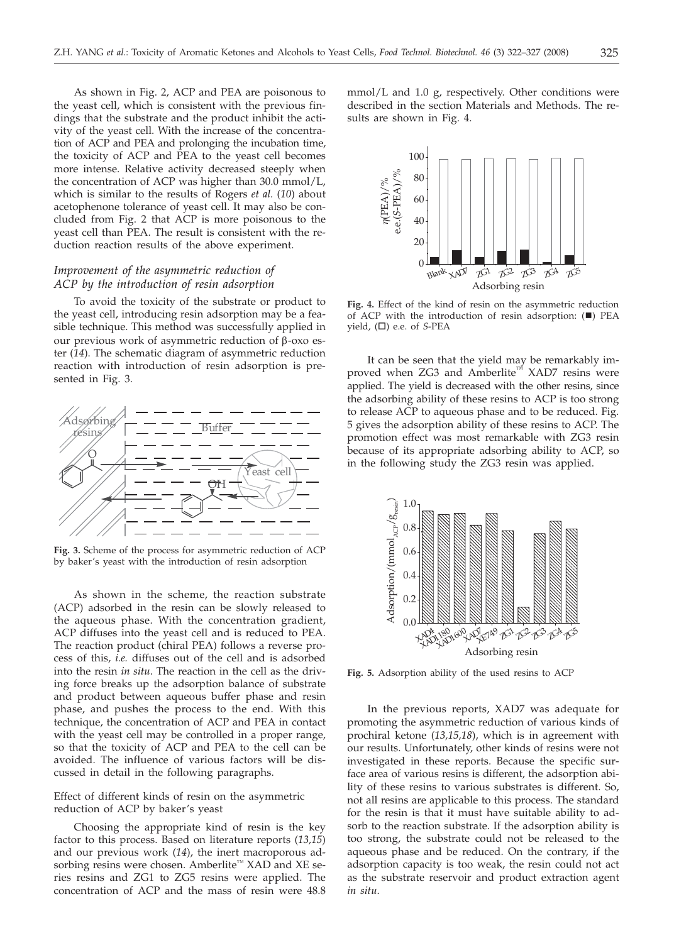As shown in Fig. 2, ACP and PEA are poisonous to the yeast cell, which is consistent with the previous findings that the substrate and the product inhibit the activity of the yeast cell. With the increase of the concentration of ACP and PEA and prolonging the incubation time, the toxicity of ACP and PEA to the yeast cell becomes more intense. Relative activity decreased steeply when the concentration of ACP was higher than 30.0 mmol/L, which is similar to the results of Rogers *et al.* (*10*) about acetophenone tolerance of yeast cell. It may also be concluded from Fig. 2 that ACP is more poisonous to the yeast cell than PEA. The result is consistent with the reduction reaction results of the above experiment.

# *Improvement of the asymmetric reduction of ACP by the introduction of resin adsorption*

To avoid the toxicity of the substrate or product to the yeast cell, introducing resin adsorption may be a feasible technique. This method was successfully applied in our previous work of asymmetric reduction of  $\beta$ -oxo ester (*14*). The schematic diagram of asymmetric reduction reaction with introduction of resin adsorption is presented in Fig. 3.



**Fig. 3.** Scheme of the process for asymmetric reduction of ACP by baker's yeast with the introduction of resin adsorption

As shown in the scheme, the reaction substrate (ACP) adsorbed in the resin can be slowly released to the aqueous phase. With the concentration gradient, ACP diffuses into the yeast cell and is reduced to PEA. The reaction product (chiral PEA) follows a reverse process of this, *i.e.* diffuses out of the cell and is adsorbed into the resin *in situ*. The reaction in the cell as the driving force breaks up the adsorption balance of substrate and product between aqueous buffer phase and resin phase, and pushes the process to the end. With this technique, the concentration of ACP and PEA in contact with the yeast cell may be controlled in a proper range, so that the toxicity of ACP and PEA to the cell can be avoided. The influence of various factors will be discussed in detail in the following paragraphs.

Effect of different kinds of resin on the asymmetric reduction of ACP by baker's yeast

Choosing the appropriate kind of resin is the key factor to this process. Based on literature reports (*13,15*) and our previous work (*14*), the inert macroporous adsorbing resins were chosen. Amberlite™ XAD and XE series resins and ZG1 to ZG5 resins were applied. The concentration of ACP and the mass of resin were 48.8

mmol/L and 1.0 g, respectively. Other conditions were described in the section Materials and Methods. The results are shown in Fig. 4.



**Fig. 4.** Effect of the kind of resin on the asymmetric reduction of ACP with the introduction of resin adsorption:  $(\blacksquare)$  PEA yield, ( $\square$ ) e.e. of S-PEA

It can be seen that the yield may be remarkably improved when  $ZG3$  and Amberlite<sup>™</sup> XAD7 resins were applied. The yield is decreased with the other resins, since the adsorbing ability of these resins to ACP is too strong to release ACP to aqueous phase and to be reduced. Fig. 5 gives the adsorption ability of these resins to ACP. The promotion effect was most remarkable with ZG3 resin because of its appropriate adsorbing ability to ACP, so in the following study the ZG3 resin was applied.



**Fig. 5.** Adsorption ability of the used resins to ACP

In the previous reports, XAD7 was adequate for promoting the asymmetric reduction of various kinds of prochiral ketone (*13,15,18*), which is in agreement with our results. Unfortunately, other kinds of resins were not investigated in these reports. Because the specific surface area of various resins is different, the adsorption ability of these resins to various substrates is different. So, not all resins are applicable to this process. The standard for the resin is that it must have suitable ability to adsorb to the reaction substrate. If the adsorption ability is too strong, the substrate could not be released to the aqueous phase and be reduced. On the contrary, if the adsorption capacity is too weak, the resin could not act as the substrate reservoir and product extraction agent *in situ*.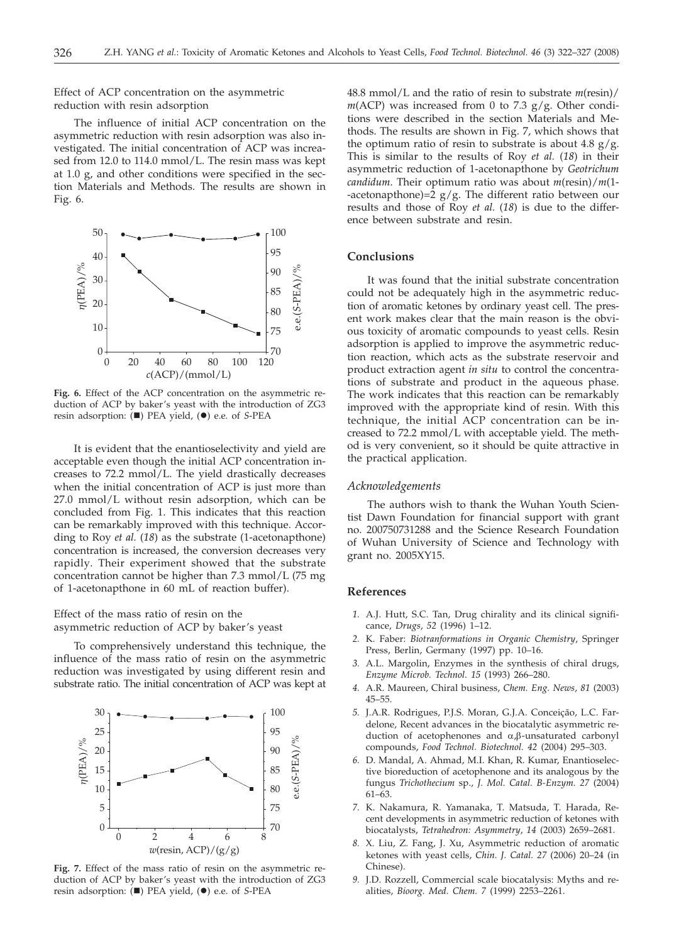Effect of ACP concentration on the asymmetric reduction with resin adsorption

The influence of initial ACP concentration on the asymmetric reduction with resin adsorption was also investigated. The initial concentration of ACP was increased from 12.0 to 114.0 mmol/L. The resin mass was kept at 1.0 g, and other conditions were specified in the section Materials and Methods. The results are shown in Fig. 6.



**Fig. 6.** Effect of the ACP concentration on the asymmetric reduction of ACP by baker's yeast with the introduction of ZG3 resin adsorption:  $(\blacksquare)$  PEA yield,  $(\lozenge)$  e.e. of *S*-PEA

It is evident that the enantioselectivity and yield are acceptable even though the initial ACP concentration increases to 72.2 mmol/L. The yield drastically decreases when the initial concentration of ACP is just more than 27.0 mmol/L without resin adsorption, which can be concluded from Fig. 1. This indicates that this reaction can be remarkably improved with this technique. According to Roy *et al.* (*18*) as the substrate (1-acetonapthone) concentration is increased, the conversion decreases very rapidly. Their experiment showed that the substrate concentration cannot be higher than 7.3 mmol/L (75 mg of 1-acetonapthone in 60 mL of reaction buffer).

# Effect of the mass ratio of resin on the asymmetric reduction of ACP by baker's yeast

To comprehensively understand this technique, the influence of the mass ratio of resin on the asymmetric reduction was investigated by using different resin and substrate ratio. The initial concentration of ACP was kept at



**Fig. 7.** Effect of the mass ratio of resin on the asymmetric reduction of ACP by baker's yeast with the introduction of ZG3 resin adsorption: ( $\blacksquare$ ) PEA yield, ( $\blacksquare$ ) e.e. of *S*-PEA

48.8 mmol/L and the ratio of resin to substrate *m*(resin)/  $m(ACP)$  was increased from 0 to 7.3 g/g. Other conditions were described in the section Materials and Methods. The results are shown in Fig. 7, which shows that the optimum ratio of resin to substrate is about  $4.8 \text{ g/g}$ . This is similar to the results of Roy *et al.* (*18*) in their asymmetric reduction of 1-acetonapthone by *Geotrichum candidum*. Their optimum ratio was about *m*(resin)/*m*(1- -acetonapthone)= $2 g/g$ . The different ratio between our results and those of Roy *et al.* (*18*) is due to the difference between substrate and resin.

## **Conclusions**

It was found that the initial substrate concentration could not be adequately high in the asymmetric reduction of aromatic ketones by ordinary yeast cell. The present work makes clear that the main reason is the obvious toxicity of aromatic compounds to yeast cells. Resin adsorption is applied to improve the asymmetric reduction reaction, which acts as the substrate reservoir and product extraction agent *in situ* to control the concentrations of substrate and product in the aqueous phase. The work indicates that this reaction can be remarkably improved with the appropriate kind of resin. With this technique, the initial ACP concentration can be increased to 72.2 mmol/L with acceptable yield. The method is very convenient, so it should be quite attractive in the practical application.

## *Acknowledgements*

The authors wish to thank the Wuhan Youth Scientist Dawn Foundation for financial support with grant no. 200750731288 and the Science Research Foundation of Wuhan University of Science and Technology with grant no. 2005XY15.

## **References**

- *1.* A.J. Hutt, S.C. Tan, Drug chirality and its clinical significance, *Drugs*, *52* (1996) 1–12.
- *2.* K. Faber: *Biotranformations in Organic Chemistry*, Springer Press, Berlin, Germany (1997) pp. 10–16.
- *3.* A.L. Margolin, Enzymes in the synthesis of chiral drugs, *Enzyme Microb. Technol. 15* (1993) 266–280.
- *4.* A.R. Maureen, Chiral business, *Chem. Eng. News*, *81* (2003) 45–55.
- *5.* J.A.R. Rodrigues, P.J.S. Moran, G.J.A. Conceição, L.C. Fardelone, Recent advances in the biocatalytic asymmetric reduction of acetophenones and  $\alpha$ , $\beta$ -unsaturated carbonyl compounds, *Food Technol. Biotechnol. 42* (2004) 295–303.
- *6.* D. Mandal, A. Ahmad, M.I. Khan, R. Kumar, Enantioselective bioreduction of acetophenone and its analogous by the fungus *Trichothecium* sp., *J. Mol. Catal. B-Enzym. 27* (2004) 61–63.
- *7.* K. Nakamura, R. Yamanaka, T. Matsuda, T. Harada, Recent developments in asymmetric reduction of ketones with biocatalysts, *Tetrahedron: Asymmetry*, *14* (2003) 2659–2681.
- *8.* X. Liu, Z. Fang, J. Xu, Asymmetric reduction of aromatic ketones with yeast cells, *Chin. J. Catal. 27* (2006) 20–24 (in Chinese).
- *9.* J.D. Rozzell, Commercial scale biocatalysis: Myths and realities, *Bioorg. Med. Chem. 7* (1999) 2253–2261.